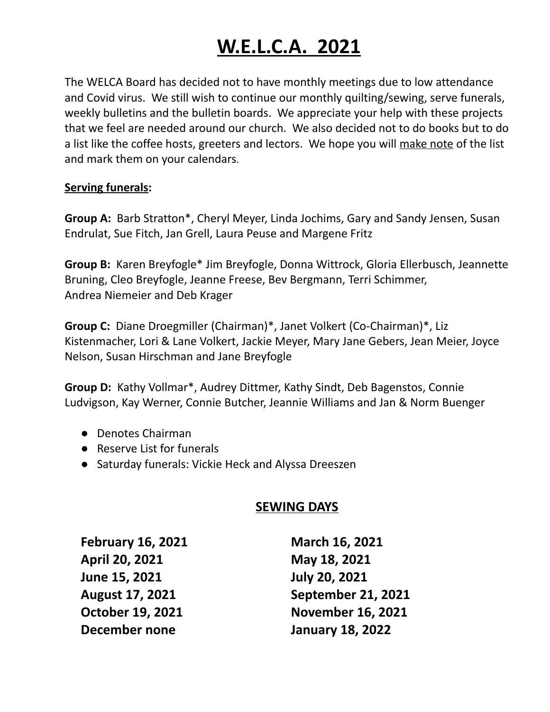# **W.E.L.C.A. 2021**

The WELCA Board has decided not to have monthly meetings due to low attendance and Covid virus. We still wish to continue our monthly quilting/sewing, serve funerals, weekly bulletins and the bulletin boards. We appreciate your help with these projects that we feel are needed around our church. We also decided not to do books but to do a list like the coffee hosts, greeters and lectors. We hope you will make note of the list and mark them on your calendars.

#### **Serving funerals:**

**Group A:** Barb Stratton\*, Cheryl Meyer, Linda Jochims, Gary and Sandy Jensen, Susan Endrulat, Sue Fitch, Jan Grell, Laura Peuse and Margene Fritz

**Group B:** Karen Breyfogle\* Jim Breyfogle, Donna Wittrock, Gloria Ellerbusch, Jeannette Bruning, Cleo Breyfogle, Jeanne Freese, Bev Bergmann, Terri Schimmer, Andrea Niemeier and Deb Krager

**Group C:** Diane Droegmiller (Chairman)\*, Janet Volkert (Co-Chairman)\*, Liz Kistenmacher, Lori & Lane Volkert, Jackie Meyer, Mary Jane Gebers, Jean Meier, Joyce Nelson, Susan Hirschman and Jane Breyfogle

**Group D:** Kathy Vollmar\*, Audrey Dittmer, Kathy Sindt, Deb Bagenstos, Connie Ludvigson, Kay Werner, Connie Butcher, Jeannie Williams and Jan & Norm Buenger

- Denotes Chairman
- Reserve List for funerals
- Saturday funerals: Vickie Heck and Alyssa Dreeszen

### **SEWING DAYS**

**February 16, 2021 March 16, 2021 April 20, 2021 May 18, 2021 June 15, 2021 July 20, 2021 December none January 18, 2022**

**August 17, 2021 September 21, 2021 October 19, 2021 November 16, 2021**